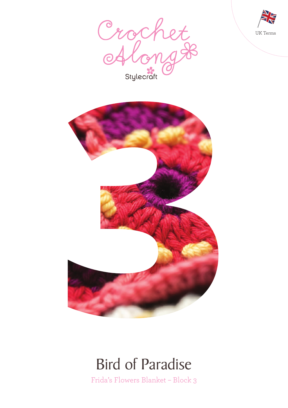





### Bird of Paradise

Frida's Flowers Blanket – Block 3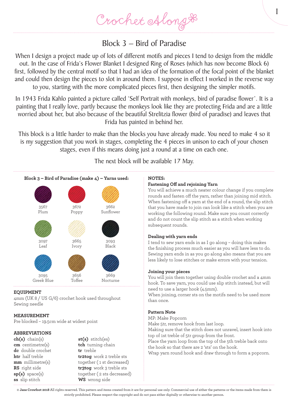### Block 3 – Bird of Paradise

When I design a project made up of lots of different motifs and pieces I tend to design from the middle out. In the case of Frida's Flower Blanket I designed Ring of Roses (which has now become Block 6) first, followed by the central motif so that I had an idea of the formation of the focal point of the blanket and could then design the pieces to slot in around them. I suppose in effect I worked in the reverse way to you, starting with the more complicated pieces first, then designing the simpler motifs.

In 1943 Frida Kahlo painted a picture called 'Self Portrait with monkeys, bird of paradise flower'. It is a painting that I really love, partly because the monkeys look like they are protecting Frida and are a little worried about her, but also because of the beautiful Strelitzia flower (bird of paradise) and leaves that Frida has painted in behind her.

This block is a little harder to make than the blocks you have already made. You need to make 4 so it is my suggestion that you work in stages, completing the 4 pieces in unison to each of your chosen stages, even if this means doing just a round at a time on each one.

The next block will be available 17 May.



**EQUIPMENT** 4mm (UK 8 / US G/6) crochet hook used throughout Sewing needle

#### **MEASUREMENT**

Pre blocked – 19.5cm wide at widest point

#### **ABBREVIATIONS**

**ch(s)** chain(s) **cm** centimetre(s) **dc** double crochet **htr** half treble **mm** millimetre(s) **RS** right side **sp(s)** space(s) **ss** slip stitch

**st(s)** stitch(es) **tch** turning chain **tr** treble **tr2tog** work 2 treble sts together ( 1 st decreased) **tr3tog** work 3 treble sts together ( 2 sts decreased) **WS** wrong side

### **NOTES:**

#### **Fastening Off and rejoining Yarn**

You will achieve a much neater colour change if you complete rounds and fasten off the yarn, rather than joining mid stitch. When fastening off a yarn at the end of a round, the slip stitch that you have made to join can look like a stitch when you are working the following round. Make sure you count correctly and do not count the slip stitch as a stitch when working subsequent rounds.

1

### **Dealing with yarn ends**

I tend to sew yarn ends in as I go along – doing this makes the finishing process much easier as you will have less to do. Sewing yarn ends in as you go along also means that you are less likely to lose stitches or make errors with your tension.

#### **Joining your pieces**

You will join them together using double crochet and a 4mm hook. To save yarn, you could use slip stitch instead, but will need to use a larger hook (4.5mm).

When joining, corner sts on the motifs need to be used more than once.

#### **Pattern Note**

MP: Make Popcorn

Make 5tr, remove hook from last loop.

Making sure that the stitch does not unravel, insert hook into top of 1st treble of 5tr group from the front.

Place the yarn loop from the top of the 5th treble back onto the hook so that there are 2 'sts' on the hook.

Wrap yarn round hook and draw through to form a popcorn.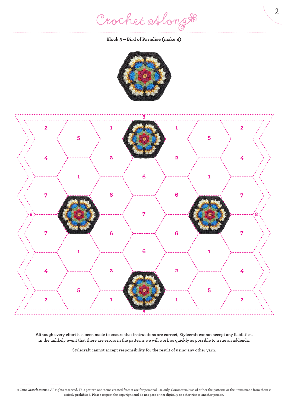Crochet Along #

**Block 3 – Bird of Paradise (make 4)**





**Although every effort has been made to ensure that instructions are correct, Stylecraft cannot accept any liabilities. In the unlikely event that there are errors in the patterns we will work as quickly as possible to issue an addenda.**

**Stylecraft cannot accept responsibility for the result of using any other yarn.**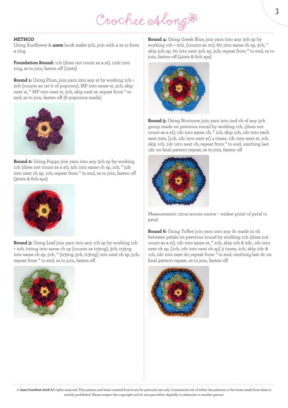# Crochet Along &

#### **METHOD**

Using Sunflower & **4mm** hook make 5ch, join with a ss to form a ring

**Foundation Round:** 1ch (does not count as a st), 12dc into ring, ss to join, fasten off (12sts)

**Round 1:** Using Plum, join yarn into any st by working 1ch + 2ch (counts as 1st tr of popcorn), MP into same st, 3ch, skip next st, \* MP into next st, 3ch, skip next st; repeat from \* to end, ss to join, fasten off (6 popcorns made)



**Round 2:** Using Poppy join yarn into any 3ch sp by working 1ch (does not count as a st), 5dc into same ch sp, 1ch, \* 5dc into next ch sp, 1ch; repeat from \* to end, ss to join, fasten off (30sts & 6ch sps)



**Round 3:** Using Leaf join yarn into any 1ch sp by working 1ch + 2ch, tr2tog into same ch sp (counts as tr3tog), 3ch, tr3tog into same ch sp, 5ch, \* [tr3tog, 3ch, tr3tog] into next ch sp, 5ch; repeat from \* to end, ss to join, fasten off



**Round 4:** Using Greek Blue, join yarn into any 3ch sp by working 1ch + 2ch, (counts as 1tr), 6tr into same ch sp, 3ch, \* skip 5ch sp, 7tr into next 3ch sp, 3ch; repeat from \* to end, ss to join, fasten off (42sts & 6ch sps)



**Round 5:** Using Nocturne join yarn into 2nd ch of any 3ch group made on previous round by working 1ch, (does not count as a st), 1dc into same ch, \* 1ch, skip 1ch, 1dc into each next 2sts, [1ch, 1dc into next st] 4 times, 1dc into next st, 1ch, skip 1ch, 1dc into next ch; repeat from \* to end, omitting last 1dc on final pattern repeat, ss to join, fasten off



Measurement: 12cm across centre – widest point of petal to petal

**Round 6:** Using Toffee join yarn into any dc made in ch between petals on previous round by working 1ch (does not count as a st), 1dc into same st, \* 2ch, skip 1ch & 2dc, 1dc into next ch sp, [1ch, 1dc into next ch sp] 3 times, 2ch, skip 2dc & 1ch, 1dc into next dc; repeat from \* to end, omitting last dc on final pattern repeat, ss to join, fasten off

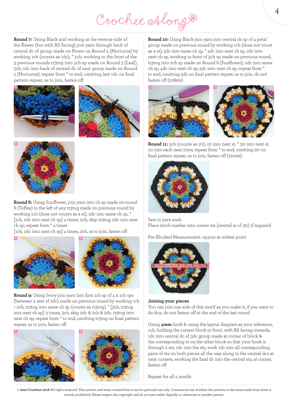## Crochet Along #

**Round 7:** Using Black and working at the reverse side of the flower (but with RS facing) join yarn through back of central dc of group made on flower on Round 5 (Nocturne) by working 1ch (counts as 1dc), \* 5ch, working to the front of the 3 previous rounds tr3tog into 5ch sp made on Round 3 (Leaf), 5ch, 1dc into back of central dc of next group made on Round 5 (Nocturne); repeat from \* to end, omitting last 1dc on final pattern repeat, ss to join, fasten off







**Round 8:** Using Sunflower, join yarn into ch sp made on round 6 (Toffee) to the left of any tr3tog made on previous round by working 1ch (does not counts as a st), 2dc into same ch sp, \* [1ch, 2dc into next ch sp] 4 times, 2ch, skip tr3tog, 2dc into next ch sp; repeat from \* 4 times

[1ch, 2dc into next ch sp] 4 times, 2ch, ss to join, fasten off





**Round 9:** Using Ivory join yarn into first 1ch sp of 4 x 1ch sps (between 2 sets of 2dc) made on previous round by working 1ch + 2ch, tr2tog into same ch sp (counts as tr3tog), \* [3ch, tr3tog into next ch sp] 3 times, 3ch, skip 2dc & 2ch & 2dc, tr3tog into next ch sp; repeat from \* to end, omitting tr3tog on final pattern repeat, ss to join, fasten off



**Round 10:** Using Black join yarn into central ch sp of 4 petal group made on previous round by working 1ch (does not count as a st), 5dc into same ch sp, \* 4dc into next ch sp, 2dc into next ch sp, working in front of 3ch sp made on previous round, tr3tog into 2ch sp made on Round 8 (Sunflower), 2dc into same ch sp, 4dc into next ch sp, 5dc into next ch sp; repeat from \* to end, omitting 5dc on final pattern repeat, ss to join, do not fasten off (108sts)



**Round 11:** 3ch (counts as 1tr), 1tr into next st,  $*$  3tr into next st, 1tr into each next 17sts; repeat from \* to end, omitting 2tr on final pattern repeat, ss to join, fasten off (120sts)



Sew in yarn ends Place stitch marker into corner sts (central st of 3tr) if required

Pre Blocked Measurement: 19.5cm at widest point



#### **Joining your pieces**

You can join one side of this motif as you make it, if you want to do this, do not fasten off at the end of the last round

Using **4mm** hook & using the layout diagram as your reference, 1ch, holding the correct block in front, with RS facing inwards, 1dc into central dc of 3dc group made at corner of block & the corresponding st on the other block so that your hook is through 2 sts, 1dc into the sts, work 1dc into all corresponding pairs of sts on both pieces all the way along to the central dcs at next corners, working the final dc into the central sts, at corner, fasten off

Repeat for all 4 motifs